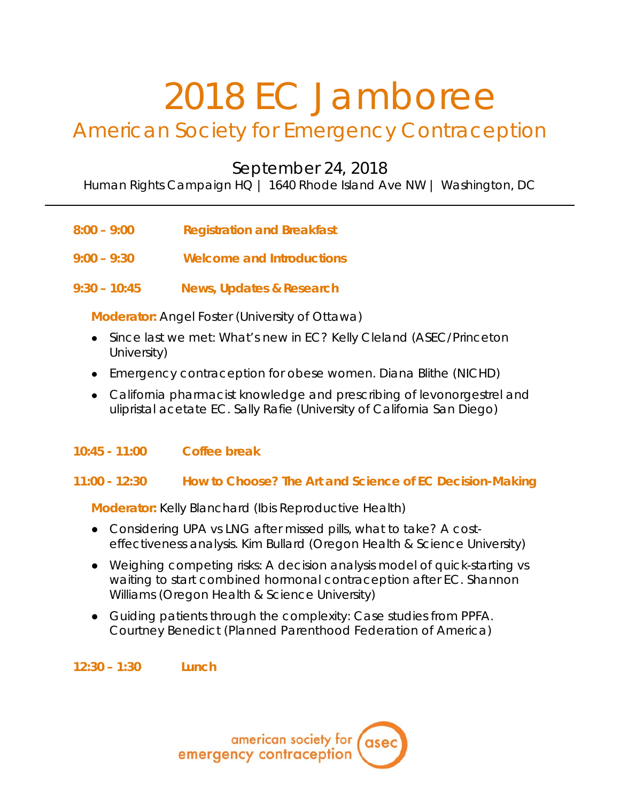# 2018 EC Jamboree

## American Society for Emergency Contraception

September 24, 2018

Human Rights Campaign HQ | 1640 Rhode Island Ave NW | Washington, DC

- **8:00 – 9:00 Registration and Breakfast**
- **9:00 – 9:30 Welcome and Introductions**
- **9:30 – 10:45 News, Updates & Research**

**Moderator:** Angel Foster *(University of Ottawa)*

- Since last we met: What's new in EC? Kelly Cleland *(ASEC/Princeton University)*
- Emergency contraception for obese women. Diana Blithe (*NICHD)*
- California pharmacist knowledge and prescribing of levonorgestrel and ulipristal acetate EC. Sally Rafie *(University of California San Diego)*
- **10:45 - 11:00 Coffee break**

#### **11:00 - 12:30 How to Choose? The Art and Science of EC Decision-Making**

**Moderator:** Kelly Blanchard *(Ibis Reproductive Health)*

- Considering UPA vs LNG after missed pills, what to take? A costeffectiveness analysis. Kim Bullard *(Oregon Health & Science University)*
- Weighing competing risks: A decision analysis model of quick-starting vs waiting to start combined hormonal contraception after EC. Shannon Williams *(Oregon Health & Science University)*
- Guiding patients through the complexity: Case studies from PPFA. Courtney Benedict *(Planned Parenthood Federation of America)*

**12:30 – 1:30 Lunch**